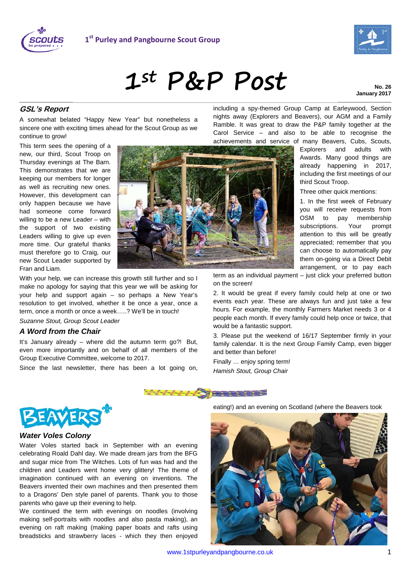



**No. 26 January 2017**

## **GSL's Report**

A somewhat belated "Happy New Year" but nonetheless a sincere one with exciting times ahead for the Scout Group as we continue to grow!

This term sees the opening of a new, our third, Scout Troop on Thursday evenings at The Barn. This demonstrates that we are keeping our members for longer as well as recruiting new ones. However, this development can only happen because we have had someone come forward willing to be a new Leader – with the support of two existing Leaders willing to give up even more time. Our grateful thanks must therefore go to Craig, our new Scout Leader supported by Fran and Liam.



With your help, we can increase this growth still further and so I make no apology for saying that this year we will be asking for your help and support again – so perhaps a New Year's resolution to get involved, whether it be once a year, once a term, once a month or once a week…..? We'll be in touch!

*Suzanne Stout, Group Scout Leader*

## *A Word from the Chair*

It's January already – where did the autumn term go?! But, even more importantly and on behalf of all members of the Group Executive Committee, welcome to 2017.

Since the last newsletter, there has been a lot going on,

including a spy-themed Group Camp at Earleywood, Section nights away (Explorers and Beavers), our AGM and a Family Ramble. It was great to draw the P&P family together at the Carol Service – and also to be able to recognise the

achievements and service of many Beavers, Cubs, Scouts, Explorers and adults with Awards. Many good things are already happening in 2017, including the first meetings of our third Scout Troop.

Three other quick mentions:

1. In the first week of February you will receive requests from OSM to pay membership subscriptions. Your prompt attention to this will be greatly appreciated; remember that you can choose to automatically pay them on-going via a Direct Debit arrangement, or to pay each

term as an individual payment – just click your preferred button on the screen!

2. It would be great if every family could help at one or two events each year. These are always fun and just take a few hours. For example, the monthly Farmers Market needs 3 or 4 people each month. If every family could help once or twice, that would be a fantastic support.

3. Please put the weekend of 16/17 September firmly in your family calendar. It is the next Group Family Camp, even bigger and better than before!

Finally … enjoy spring term! *Hamish Stout, Group Chair*









## *Water Voles Colony*

Water Voles started back in September with an evening celebrating Roald Dahl day. We made dream jars from the BFG and sugar mice from The Witches. Lots of fun was had and the children and Leaders went home very glittery! The theme of imagination continued with an evening on inventions. The Beavers invented their own machines and then presented them to a Dragons' Den style panel of parents. Thank you to those parents who gave up their evening to help.

We continued the term with evenings on noodles (involving making self-portraits with noodles and also pasta making), an evening on raft making (making paper boats and rafts using breadsticks and strawberry laces - which they then enjoyed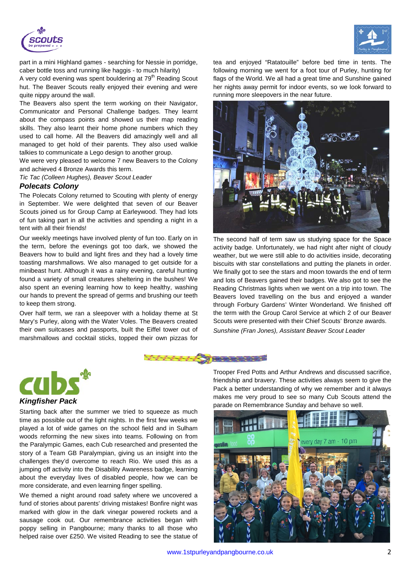



part in a mini Highland games - searching for Nessie in porridge, caber bottle toss and running like haggis - to much hilarity)

A very cold evening was spent bouldering at  $79<sup>th</sup>$  Reading Scout hut. The Beaver Scouts really enjoyed their evening and were quite nippy around the wall.

The Beavers also spent the term working on their Navigator, Communicator and Personal Challenge badges. They learnt about the compass points and showed us their map reading skills. They also learnt their home phone numbers which they used to call home. All the Beavers did amazingly well and all managed to get hold of their parents. They also used walkie talkies to communicate a Lego design to another group.

We were very pleased to welcome 7 new Beavers to the Colony and achieved 4 Bronze Awards this term.

*Tic Tac (Colleen Hughes), Beaver Scout Leader*

## *Polecats Colony*

The Polecats Colony returned to Scouting with plenty of energy in September. We were delighted that seven of our Beaver Scouts joined us for Group Camp at Earleywood. They had lots of fun taking part in all the activities and spending a night in a tent with all their friends!

Our weekly meetings have involved plenty of fun too. Early on in the term, before the evenings got too dark, we showed the Beavers how to build and light fires and they had a lovely time toasting marshmallows. We also managed to get outside for a minibeast hunt. Although it was a rainy evening, careful hunting found a variety of small creatures sheltering in the bushes! We also spent an evening learning how to keep healthy, washing our hands to prevent the spread of germs and brushing our teeth to keep them strong.

Over half term, we ran a sleepover with a holiday theme at St Mary's Purley, along with the Water Voles. The Beavers created their own suitcases and passports, built the Eiffel tower out of marshmallows and cocktail sticks, topped their own pizzas for

tea and enjoyed "Ratatouille" before bed time in tents. The following morning we went for a foot tour of Purley, hunting for flags of the World. We all had a great time and Sunshine gained her nights away permit for indoor events, so we look forward to running more sleepovers in the near future.



The second half of term saw us studying space for the Space activity badge. Unfortunately, we had night after night of cloudy weather, but we were still able to do activities inside, decorating biscuits with star constellations and putting the planets in order. We finally got to see the stars and moon towards the end of term and lots of Beavers gained their badges. We also got to see the Reading Christmas lights when we went on a trip into town. The Beavers loved travelling on the bus and enjoyed a wander through Forbury Gardens' Winter Wonderland. We finished off the term with the Group Carol Service at which 2 of our Beaver Scouts were presented with their Chief Scouts' Bronze awards. *Sunshine (Fran Jones), Assistant Beaver Scout Leader*





Starting back after the summer we tried to squeeze as much time as possible out of the light nights. In the first few weeks we played a lot of wide games on the school field and in Sulham woods reforming the new sixes into teams. Following on from the Paralympic Games, each Cub researched and presented the story of a Team GB Paralympian, giving us an insight into the challenges they'd overcome to reach Rio. We used this as a jumping off activity into the Disability Awareness badge, learning about the everyday lives of disabled people, how we can be more considerate, and even learning finger spelling.

We themed a night around road safety where we uncovered a fund of stories about parents' driving mistakes! Bonfire night was marked with glow in the dark vinegar powered rockets and a sausage cook out. Our remembrance activities began with poppy selling in Pangbourne; many thanks to all those who helped raise over £250. We visited Reading to see the statue of

Trooper Fred Potts and Arthur Andrews and discussed sacrifice, friendship and bravery. These activities always seem to give the Pack a better understanding of why we remember and it always makes me very proud to see so many Cub Scouts attend the parade on Remembrance Sunday and behave so well.

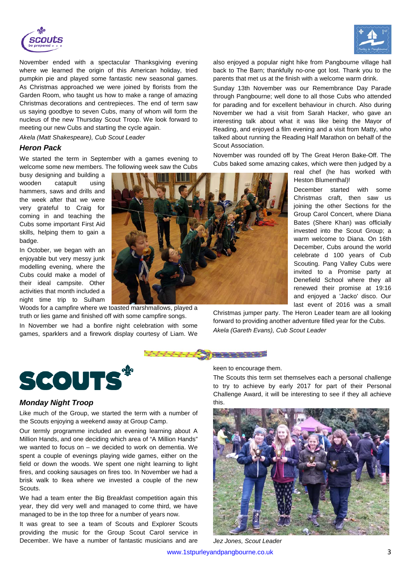



November ended with a spectacular Thanksgiving evening where we learned the origin of this American holiday, tried pumpkin pie and played some fantastic new seasonal games. As Christmas approached we were joined by florists from the Garden Room, who taught us how to make a range of amazing Christmas decorations and centrepieces. The end of term saw us saying goodbye to seven Cubs, many of whom will form the nucleus of the new Thursday Scout Troop. We look forward to meeting our new Cubs and starting the cycle again.

#### *Akela (Matt Shakespeare), Cub Scout Leader*

## *Heron Pack*

We started the term in September with a games evening to welcome some new members. The following week saw the Cubs

busy designing and building a wooden catapult using hammers, saws and drills and the week after that we were very grateful to Craig for coming in and teaching the Cubs some important First Aid skills, helping them to gain a badge.

In October, we began with an enjoyable but very messy junk modelling evening, where the Cubs could make a model of their ideal campsite. Other activities that month included a night time trip to Sulham

Woods for a campfire where we toasted marshmallows, played a truth or lies game and finished off with some campfire songs.

In November we had a bonfire night celebration with some games, sparklers and a firework display courtesy of Liam. We also enjoyed a popular night hike from Pangbourne village hall back to The Barn; thankfully no-one got lost. Thank you to the parents that met us at the finish with a welcome warm drink.

Sunday 13th November was our Remembrance Day Parade through Pangbourne; well done to all those Cubs who attended for parading and for excellent behaviour in church. Also during November we had a visit from Sarah Hacker, who gave an interesting talk about what it was like being the Mayor of Reading, and enjoyed a film evening and a visit from Matty, who talked about running the Reading Half Marathon on behalf of the Scout Association.

November was rounded off by The Great Heron Bake-Off. The Cubs baked some amazing cakes, which were then judged by a

real chef (he has worked with Heston Blumenthal)!

December started with some Christmas craft, then saw us joining the other Sections for the Group Carol Concert, where Diana Bates (Shere Khan) was officially invested into the Scout Group; a warm welcome to Diana. On 16th December, Cubs around the world celebrate d 100 years of Cub Scouting. Pang Valley Cubs were invited to a Promise party at Denefield School where they all renewed their promise at 19:16 and enjoyed a 'Jacko' disco. Our last event of 2016 was a small

Christmas jumper party. The Heron Leader team are all looking forward to providing another adventure filled year for the Cubs. *Akela (Gareth Evans), Cub Scout Leader*





## *Monday Night Troop*

Like much of the Group, we started the term with a number of the Scouts enjoying a weekend away at Group Camp.

Our termly programme included an evening learning about A Million Hands, and one deciding which area of "A Million Hands" we wanted to focus on – we decided to work on dementia. We spent a couple of evenings playing wide games, either on the field or down the woods. We spent one night learning to light fires, and cooking sausages on fires too. In November we had a brisk walk to Ikea where we invested a couple of the new **Scouts**.

We had a team enter the Big Breakfast competition again this year, they did very well and managed to come third, we have managed to be in the top three for a number of years now.

It was great to see a team of Scouts and Explorer Scouts providing the music for the Group Scout Carol service in December. We have a number of fantastic musicians and are keen to encourage them.

The Scouts this term set themselves each a personal challenge to try to achieve by early 2017 for part of their Personal Challenge Award, it will be interesting to see if they all achieve this.



*Jez Jones, Scout Leader*